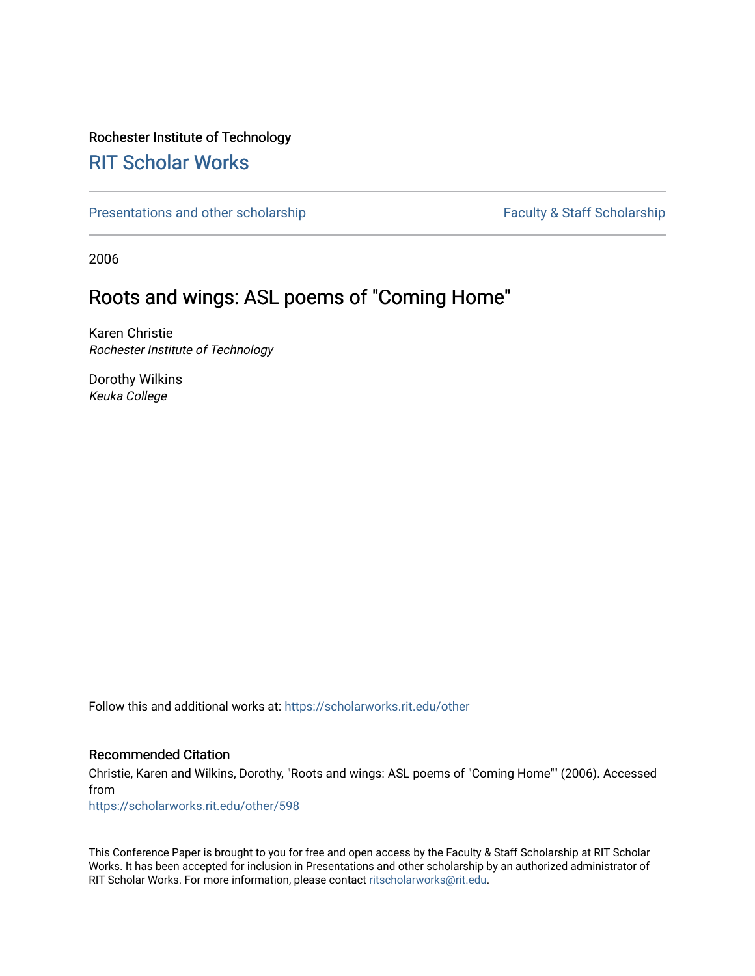## Rochester Institute of Technology

## [RIT Scholar Works](https://scholarworks.rit.edu/)

[Presentations and other scholarship](https://scholarworks.rit.edu/other) Faculty & Staff Scholarship

2006

# Roots and wings: ASL poems of "Coming Home"

Karen Christie Rochester Institute of Technology

Dorothy Wilkins Keuka College

Follow this and additional works at: [https://scholarworks.rit.edu/other](https://scholarworks.rit.edu/other?utm_source=scholarworks.rit.edu%2Fother%2F598&utm_medium=PDF&utm_campaign=PDFCoverPages) 

### Recommended Citation

Christie, Karen and Wilkins, Dorothy, "Roots and wings: ASL poems of "Coming Home"" (2006). Accessed from

[https://scholarworks.rit.edu/other/598](https://scholarworks.rit.edu/other/598?utm_source=scholarworks.rit.edu%2Fother%2F598&utm_medium=PDF&utm_campaign=PDFCoverPages)

This Conference Paper is brought to you for free and open access by the Faculty & Staff Scholarship at RIT Scholar Works. It has been accepted for inclusion in Presentations and other scholarship by an authorized administrator of RIT Scholar Works. For more information, please contact [ritscholarworks@rit.edu.](mailto:ritscholarworks@rit.edu)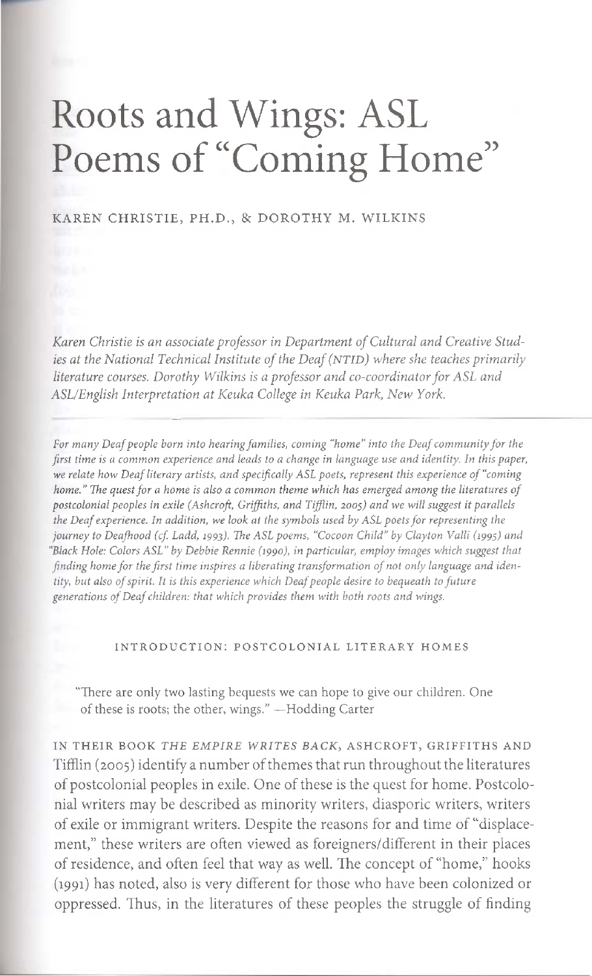# Roots and Wings: ASL Poems of "Coming Home"

#### KAREN CHRISTIE, PH.D., & DOROTHY M. WILKINS

*Karen Christie is an associate professor in Department of Cultural and Creative Studies at the National Technical Institute of the Deaf (NTH)) where she teaches primarily literature courses. Dorothy Wilkins is a professor and co-coordinator for ASL and ASL/English Interpretation at Keuka College in Keuka Park, New York.*

*For many Deaf people born into hearing families, coming "home" into the Deaf community for the first time is a common experience and leads to a change in language use and identity. In this paper, we relate how Deaf literary artists, and specifically ASL poets, represent this experience of "coming home." The quest for a home is also a common theme which has emerged among the literatures of postcolonial peoples in exile (Ashcroft, Griffiths, and Tifflin, 2005) and we will suggest it parallels the Deaf experience. In addition, we look at the symbols used by ASL poets for representing the journey to Deafhood (cf. Ladd, 1993). The ASL poems, "Cocoon Child" by Clayton Valli (1995) and "Black Hole: Colors ASL" by Debbie Rennie (199o), in particular, employ images which suggest that finding home for the first time inspires a liberating transformation of not only language and identity, but also of spirit. It is this experience which Deaf people desire to bequeath to future generations of Deaf children: that which provides them with both roots and wings.*

#### INTRODUCTION: POSTCOLONIAL LITERARY HOMES

"There are only two lasting bequests we can hope to give our children. One of these is roots; the other, wings." —Hodding Carter

IN THEIR BOOK *THE EMPIRE WRITES BACK,* ASHCROFT, GRIFFITHS AND Tifflin (2005) identify a number of themes that run throughout the literatures of postcolonial peoples in exile. One of these is the quest for home. Postcolonial writers may be described as minority writers, diasporic writers, writers of exile or immigrant writers. Despite the reasons for and time of "displacement," these writers are often viewed as foreigners/different in their places of residence, and often feel that way as well. The concept of "home," hooks (1991) has noted, also is very different for those who have been colonized or oppressed. Thus, in the literatures of these peoples the struggle of finding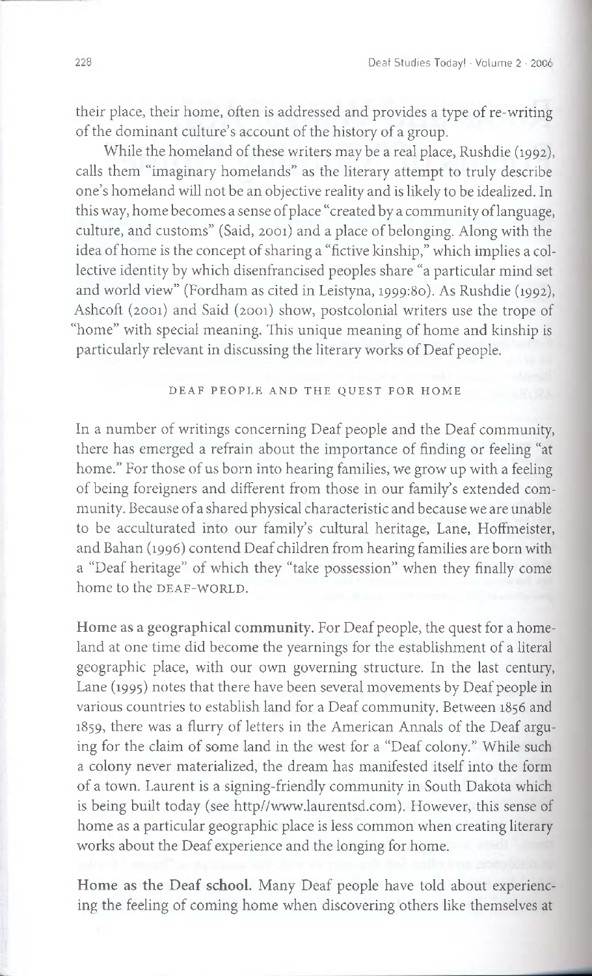their place, their home, often is addressed and provides a type of re-writing of the dominant culture's account of the history of a group.

While the homeland of these writers may be a real place, Rushdie (1992), calls them "imaginary homelands" as the literary attempt to truly describe one's homeland will not be an objective reality and is likely to be idealized. In this way, home becomes a sense of place "created by a community of language, culture, and customs" (Said, 2001) and a place of belonging. Along with the idea of home is the concept of sharing a "fictive kinship," which implies a collective identity by which disenfrancised peoples share "a particular mind set and world view" (Fordham as cited in Leistyna, 1999:80. As Rushdie (1992), Ashcoft (2001) and Said (2001) show, postcolonial writers use the trope of "home" with special meaning. This unique meaning of home and kinship is particularly relevant in discussing the literary works of Deaf people.

#### DEAF PEOPLE AND THE QUEST FOR HOME

In a number of writings concerning Deaf people and the Deaf community, there has emerged a refrain about the importance of finding or feeling "at home." For those of us born into hearing families, we grow up with a feeling of being foreigners and different from those in our family's extended community. Because of a shared physical characteristic and because we are unable to be acculturated into our family's cultural heritage, Lane, Hoffmeister, and Bahan (1996) contend Deaf children from hearing families are born with a "Deaf heritage" of which they "take possession" when they finally come home to the DEAF-WORLD.

**Home as a geographical community.** For Deaf people, the quest for a homeland at one time did become the yearnings for the establishment of a literal geographic place, with our own governing structure. In the last century, Lane (1995) notes that there have been several movements by Deaf people in various countries to establish land for a Deaf community. Between 1856 and 1859, there was a flurry of letters in the American Annals of the Deaf arguing for the claim of some land in the west for a "Deaf colony." While such a colony never materialized, the dream has manifested itself into the form of a town. Laurent is a signing-friendly community in South Dakota which is being built today (see http//www.laurentsd.com). However, this sense of home as a particular geographic place is less common when creating literary works about the Deaf experience and the longing for home.

**Home as the Deaf school.** Many Deaf people have told about experiencing the feeling of coming home when discovering others like themselves at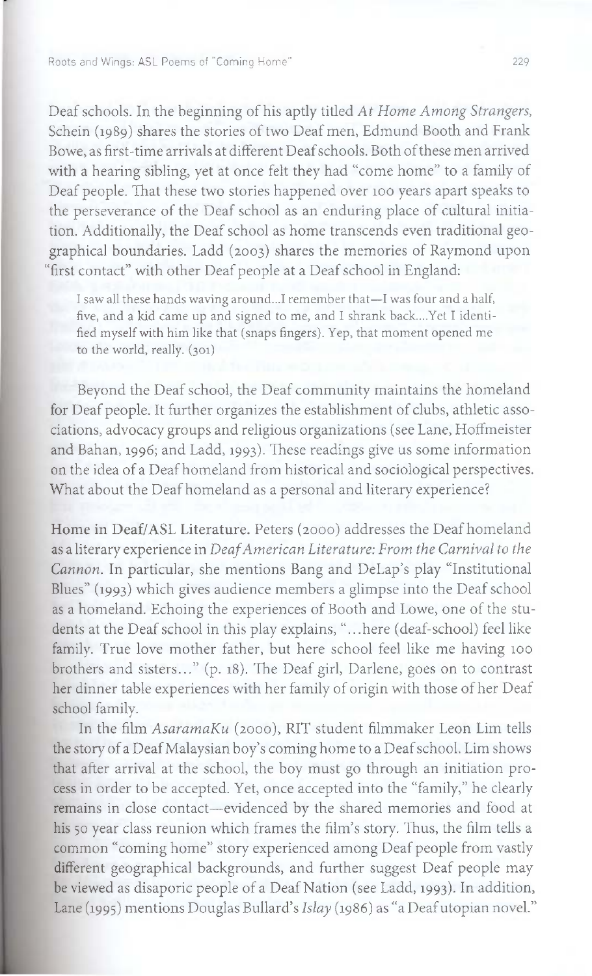Roots and Wings: ASL Poems of "Coming Home"

Deaf schools. In the beginning of his aptly titled A *t Home Among Strangers,* Schein (1989) shares the stories of two Deaf men, Edmund Booth and Frank Bowe, as first-time arrivals at different Deaf schools. Both of these men arrived with a hearing sibling, yet at once felt they had "come home" to a family of Deaf people. That these two stories happened over loo years apart speaks to the perseverance of the Deaf school as an enduring place of cultural initiation. Additionally, the Deaf school as home transcends even traditional geographical boundaries. Ladd (2003) shares the memories of Raymond upon "first contact" with other Deaf people at a Deaf school in England:

I saw all these hands waving around...I remember that—I was four and a half, five, and a kid came up and signed to me, and I shrank back....Yet I identified myself with him like that (snaps fingers). Yep, that moment opened me to the world, really. (301)

Beyond the Deaf school, the Deaf community maintains the homeland for Deaf people. It further organizes the establishment of clubs, athletic associations, advocacy groups and religious organizations (see Lane, Hoffmeister and Bahan, 1996; and Ladd, 1993). These readings give us some information on the idea of a Deaf homeland from historical and sociological perspectives. What about the Deaf homeland as a personal and literary experience?

**Home in** Deaf/ASL Literature. Peters (2000) addresses the Deaf homeland as a literary experience in *Deaf American Literature: From the Carnival to the Cannon.* In particular, she mentions Bang and DeLap's play "Institutional Blues" (1993) which gives audience members a glimpse into the Deaf school as a homeland. Echoing the experiences of Booth and Lowe, one of the students at the Deaf school in this play explains, "...here (deaf-school) feel like family. True love mother father, but here school feel like me having loo brothers and sisters..." (p. 18). The Deaf girl, Darlene, goes on to contrast her dinner table experiences with her family of origin with those of her Deaf school family.

In the film *AsaramaKu* (2000), RIT student filmmaker Leon Lim tells the story of a Deaf Malaysian boy's coming home to a Deaf school. Lim shows that after arrival at the school, the boy must go through an initiation process in order to be accepted. Yet, once accepted into the "family," he clearly remains in close contact—evidenced by the shared memories and food at his 5o year class reunion which frames the film's story. Thus, the film tells a common "coming home" story experienced among Deaf people from vastly different geographical backgrounds, and further suggest Deaf people may be viewed as disaporic people of a Deaf Nation (see Ladd, 1993). In addition, Lane (1995) mentions Douglas Bullard's *Islay* (1986) as "a Deaf utopian novel."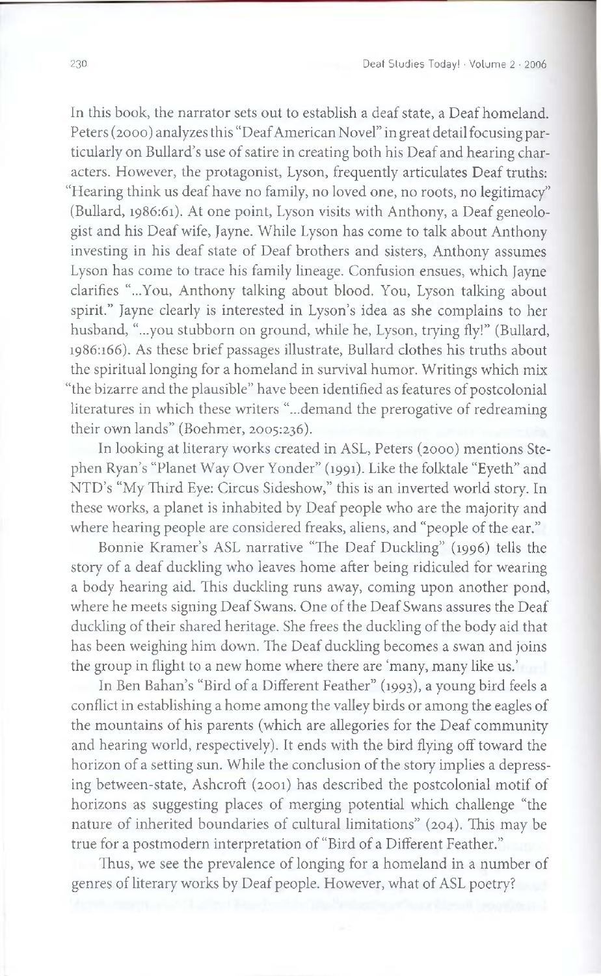In this book, the narrator sets out to establish a deaf state, a Deaf homeland. Peters (2000) analyzes this "Deaf American Novel" in great detail focusing particularly on Bullard's use of satire in creating both his Deaf and hearing characters. However, the protagonist, Lyson, frequently articulates Deaf truths: "Hearing think us deaf have no family, no loved one, no roots, no legitimacy" (Bullard, 1986:61). At one point, Lyson visits with Anthony, a Deaf geneologist and his Deaf wife, Jayne. While Lyson has come to talk about Anthony investing in his deaf state of Deaf brothers and sisters, Anthony assumes Lyson has come to trace his family lineage. Confusion ensues, which Jayne clarifies "...You, Anthony talking about blood. You, Lyson talking about spirit." Jayne clearly is interested in Lyson's idea as she complains to her husband, "...you stubborn on ground, while he, Lyson, trying fly!" (Bullard, 1986:166). As these brief passages illustrate, Bullard clothes his truths about the spiritual longing for a homeland in survival humor. Writings which mix "the bizarre and the plausible" have been identified as features of postcolonial literatures in which these writers "...demand the prerogative of redreaming their own lands" (Boehmer, 2005:236).

In looking at literary works created in ASL, Peters (2000) mentions Stephen Ryan's "Planet Way Over Yonder" (1991). Like the folktale "Eyeth" and NTD's "My Third Eye: Circus Sideshow," this is an inverted world story. In these works, a planet is inhabited by Deaf people who are the majority and where hearing people are considered freaks, aliens, and "people of the ear."

Bonnie Kramer's ASL narrative "The Deaf Duckling" (1996) tells the story of a deaf duckling who leaves home after being ridiculed for wearing a body hearing aid. This duckling runs away, coming upon another pond, where he meets signing Deaf Swans. One of the Deaf Swans assures the Deaf duckling of their shared heritage. She frees the duckling of the body aid that has been weighing him down. The Deaf duckling becomes a swan and joins the group in flight to a new home where there are 'many, many like us.'

In Ben Bahan's "Bird of a Different Feather" (1993), a young bird feels a conflict in establishing a home among the valley birds or among the eagles of the mountains of his parents (which are allegories for the Deaf community and hearing world, respectively). It ends with the bird flying off toward the horizon of a setting sun. While the conclusion of the story implies a depressing between-state, Ashcroft (2001) has described the postcolonial motif of horizons as suggesting places of merging potential which challenge "the nature of inherited boundaries of cultural limitations" (204). This may be true for a postmodern interpretation of "Bird of a Different Feather."

Thus, we see the prevalence of longing for a homeland in a number of genres of literary works by Deaf people. However, what of ASL poetry?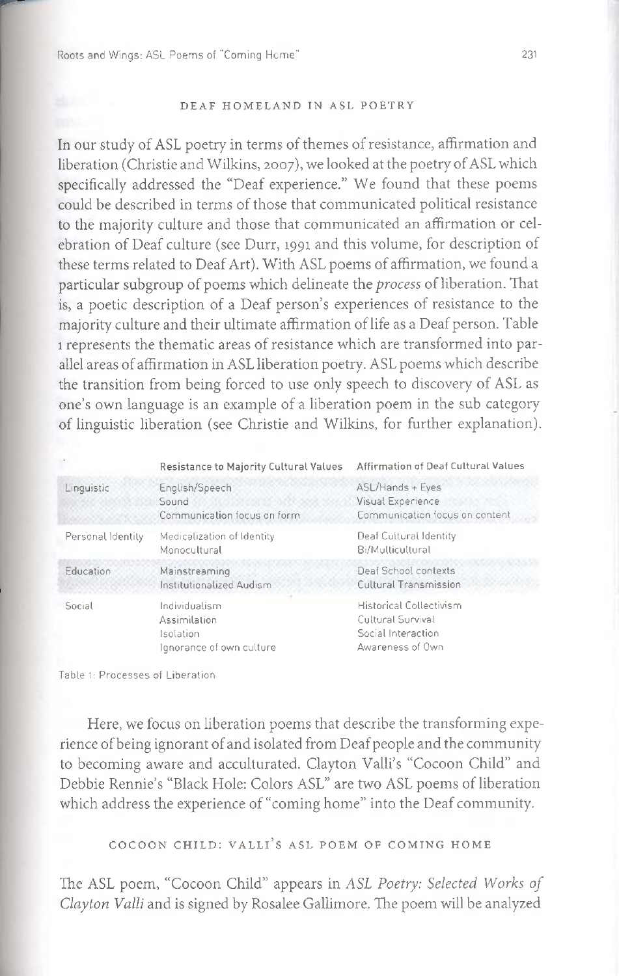#### DEAF HOMELAND IN ASL POETRY

In our study of ASL poetry in terms of themes of resistance, affirmation and liberation (Christie and Wilkins, 2007), we looked at the poetry of ASL which specifically addressed the "Deaf experience." We found that these poems could be described in terms of those that communicated political resistance to the majority culture and those that communicated an affirmation or celebration of Deaf culture (see Durr, 1991 and this volume, for description of these terms related to Deaf Art). With ASL poems of affirmation, we found a particular subgroup of poems which delineate the *process* of liberation. That is, a poetic description of a Deaf person's experiences of resistance to the majority culture and their ultimate affirmation of life as a Deaf person. Table represents the thematic areas of resistance which are transformed into parallel areas of affirmation in ASL liberation poetry. ASL poems which describe the transition from being forced to use only speech to discovery of ASL as one's own language is an example of a liberation poem in the sub category of linguistic liberation (see Christie and Wilkins, for further explanation).

|                   | Resistance to Majority Cultural Values                                 | Affirmation of Deaf Cultural Values                                                           |
|-------------------|------------------------------------------------------------------------|-----------------------------------------------------------------------------------------------|
| Linguistic        | English/Speech<br>Sound<br>Communication focus on form                 | ASL/Hands + Eyes<br>Visual Experience<br>Communication focus on content                       |
| Personal Identity | Medicalization of Identity<br>Monocultural                             | Deaf Cultural Identity<br>Bi/Multicultural                                                    |
| Education         | Mainstreaming<br>Institutionalized Audism                              | Deaf School contexts<br>Cultural Transmission                                                 |
| Social            | Individualism<br>Assimilation<br>Isolation<br>lanorance of own culture | <b>Historical Collectivism</b><br>Cultural Survival<br>Social Interaction<br>Awareness of Own |

Table 1: Processes of Liberation

Here, we focus on liberation poems that describe the transforming experience of being ignorant of and isolated from Deaf people and the community to becoming aware and acculturated. Clayton Valli's "Cocoon Child" and Debbie Rennie's "Black Hole: Colors ASL" are two ASL poems of liberation which address the experience of "coming home" into the Deaf community.

COCOON CHILD: VALLI'S ASL POEM OF COMING HOME

The ASL poem, "Cocoon Child" appears in *ASL Poetry: Selected Works of Clayton Valli* and is signed by Rosalee Gallimore. The poem will be analyzed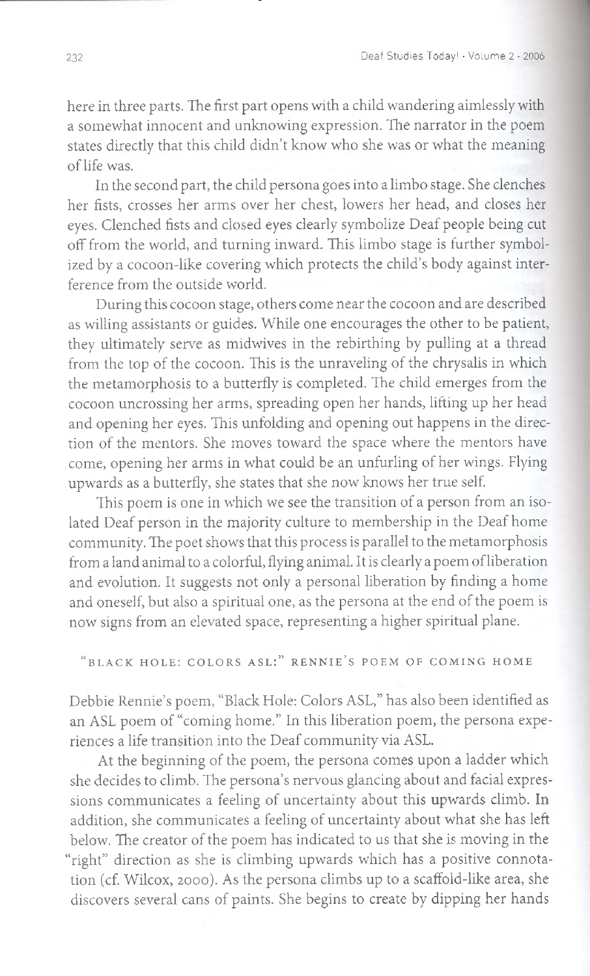here in three parts. The first part opens with a child wandering aimlessly with a somewhat innocent and unknowing expression. The narrator in the poem states directly that this child didn't know who she was or what the meaning of life was.

In the second part, the child persona goes into a limbo stage. She clenches her fists, crosses her arms over her chest, lowers her head, and closes her eyes. Clenched fists and closed eyes clearly symbolize Deaf people being cut off from the world, and turning inward. This limbo stage is further symbolized by a cocoon-like covering which protects the child's body against interference from the outside world.

During this cocoon stage, others come near the cocoon and are described as willing assistants or guides. While one encourages the other to be patient, they ultimately serve as midwives in the rebirthing by pulling at a thread from the top of the cocoon. This is the unraveling of the chrysalis in which the metamorphosis to a butterfly is completed. The child emerges from the cocoon uncrossing her arms, spreading open her hands, lifting up her head and opening her eyes. This unfolding and opening out happens in the direction of the mentors. She moves toward the space where the mentors have come, opening her arms in what could be an unfurling of her wings. Flying upwards as a butterfly, she states that she now knows her true self.

This poem is one in which we see the transition of a person from an isolated Deaf person in the majority culture to membership in the Deaf home community. The poet shows that this process is parallel to the metamorphosis from a land animal to a colorful, flying animal. It is clearly a poem of liberation and evolution. It suggests not only a personal liberation by finding a home and oneself, but also a spiritual one, as the persona at the end of the poem is now signs from an elevated space, representing a higher spiritual plane.

## "BLACK HOLE: COLORS ASL:" RENNIE'S POEM OF COMING HOME

Debbie Rennie's poem, "Black Hole: Colors ASL," has also been identified as an ASL poem of "coming home." In this liberation poem, the persona experiences a life transition into the Deaf community via ASL.

At the beginning of the poem, the persona comes upon a ladder which she decides to climb. The persona's nervous glancing about and facial expressions communicates a feeling of uncertainty about this upwards climb. In addition, she communicates a feeling of uncertainty about what she has left below. The creator of the poem has indicated to us that she is moving in the "right" direction as she is climbing upwards which has a positive connotation (cf. Wilcox, 2000). As the persona climbs up to a scaffold-like area, she discovers several cans of paints. She begins to create by dipping her hands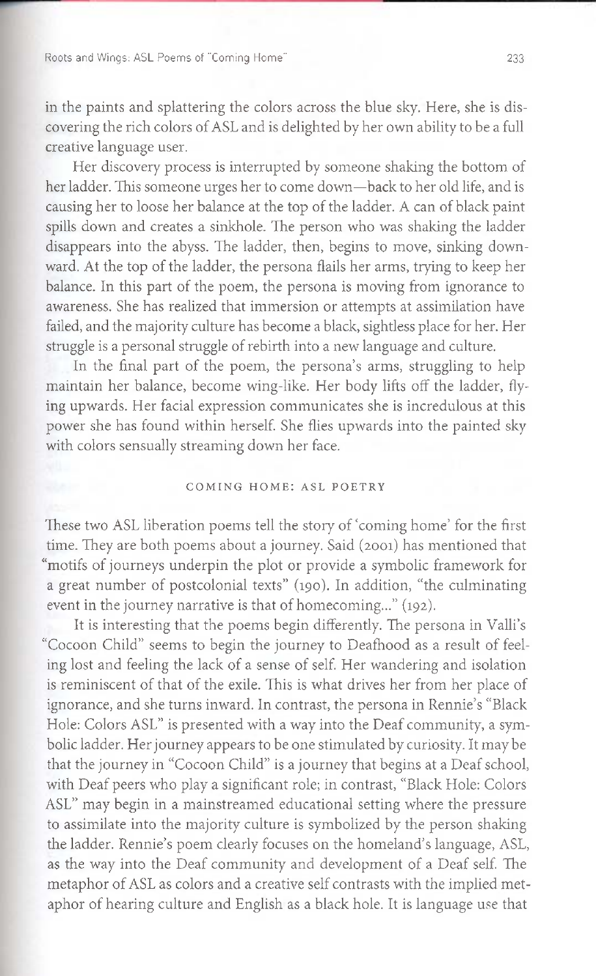Roots and Wings: ASL Poems of "Coming Home"

in the paints and splattering the colors across the blue sky. Here, she is discovering the rich colors of ASL and is delighted by her own ability to be a full creative language user.

Her discovery process is interrupted by someone shaking the bottom of her ladder. This someone urges her to come down—back to her old life, and is causing her to loose her balance at the top of the ladder. A can of black paint spills down and creates a sinkhole. The person who was shaking the ladder disappears into the abyss. The ladder, then, begins to move, sinking downward. At the top of the ladder, the persona flails her arms, trying to keep her balance. In this part of the poem, the persona is moving from ignorance to awareness. She has realized that immersion or attempts at assimilation have failed, and the majority culture has become a black, sightless place for her. Her struggle is a personal struggle of rebirth into a new language and culture.

In the final part of the poem, the persona's arms, struggling to help maintain her balance, become wing-like. Her body lifts off the ladder, flying upwards. Her facial expression communicates she is incredulous at this power she has found within herself. She flies upwards into the painted sky with colors sensually streaming down her face.

#### COMING HOME: ASL POETRY

These two ASL liberation poems tell the story of 'coming home' for the first time. They are both poems about a journey. Said (2001) has mentioned that "motifs of journeys underpin the plot or provide a symbolic framework for a great number of postcolonial texts" (190). In addition, "the culminating event in the journey narrative is that of homecoming..." (192).

It is interesting that the poems begin differently. The persona in Valli's "Cocoon Child" seems to begin the journey to Deafhood as a result of feeling lost and feeling the lack of a sense of self. Her wandering and isolation is reminiscent of that of the exile. This is what drives her from her place of ignorance, and she turns inward. In contrast, the persona in Rennie's "Black Hole: Colors ASL" is presented with a way into the Deaf community, a symbolic ladder. Her journey appears to be one stimulated by curiosity. It may be that the journey in "Cocoon Child" is a journey that begins at a Deaf school, with Deaf peers who play a significant role; in contrast, "Black Hole: Colors ASL" may begin in a mainstreamed educational setting where the pressure to assimilate into the majority culture is symbolized by the person shaking the ladder. Rennie's poem clearly focuses on the homeland's language, ASL, as the way into the Deaf community and development of a Deaf self. The metaphor of ASL as colors and a creative self contrasts with the implied metaphor of hearing culture and English as a black hole. It is language use that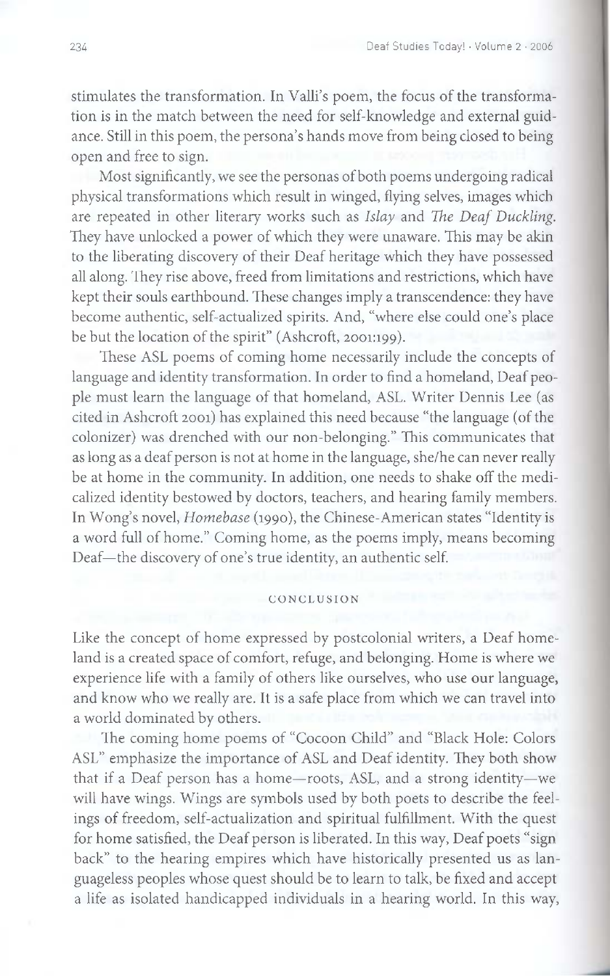stimulates the transformation. In Valli's poem, the focus of the transformation is in the match between the need for self-knowledge and external guidance. Still in this poem, the persona's hands move from being closed to being open and free to sign.

Most significantly, we see the personas of both poems undergoing radical physical transformations which result in winged, flying selves, images which are repeated in other literary works such as *Islay* and *The Deaf Duckling.* They have unlocked a power of which they were unaware. This may be akin to the liberating discovery of their Deaf heritage which they have possessed all along. They rise above, freed from limitations and restrictions, which have kept their souls earthbound. These changes imply a transcendence: they have become authentic, self-actualized spirits. And, "where else could one's place be but the location of the spirit" (Ashcroft, 2001:199).

These ASL poems of coming home necessarily include the concepts of language and identity transformation. In order to find a homeland, Deaf people must learn the language of that homeland, ASL. Writer Dennis Lee (as cited in Ashcroft 2001) has explained this need because "the language (of the colonizer) was drenched with our non-belonging." This communicates that as long as a deaf person is not at home in the language, she/he can never really be at home in the community. In addition, one needs to shake off the medicalized identity bestowed by doctors, teachers, and hearing family members. In Wong's novel, *Homebase* (1990), the Chinese-American states "Identity is a word full of home." Coming home, as the poems imply, means becoming Deaf—the discovery of one's true identity, an authentic self.

#### CONCLUSION

Like the concept of home expressed by postcolonial writers, a Deaf homeland is a created space of comfort, refuge, and belonging. Home is where we experience life with a family of others like ourselves, who use our language, and know who we really are. It is a safe place from which we can travel into a world dominated by others.

The coming home poems of "Cocoon Child" and "Black Hole: Colors ASL" emphasize the importance of ASL and Deaf identity. They both show that if a Deaf person has a home—roots, ASL, and a strong identity—we will have wings. Wings are symbols used by both poets to describe the feelings of freedom, self-actualization and spiritual fulfillment. With the quest for home satisfied, the Deaf person is liberated. In this way, Deaf poets "sign back" to the hearing empires which have historically presented us as languageless peoples whose quest should be to learn to talk, be fixed and accept a life as isolated handicapped individuals in a hearing world. In this way,